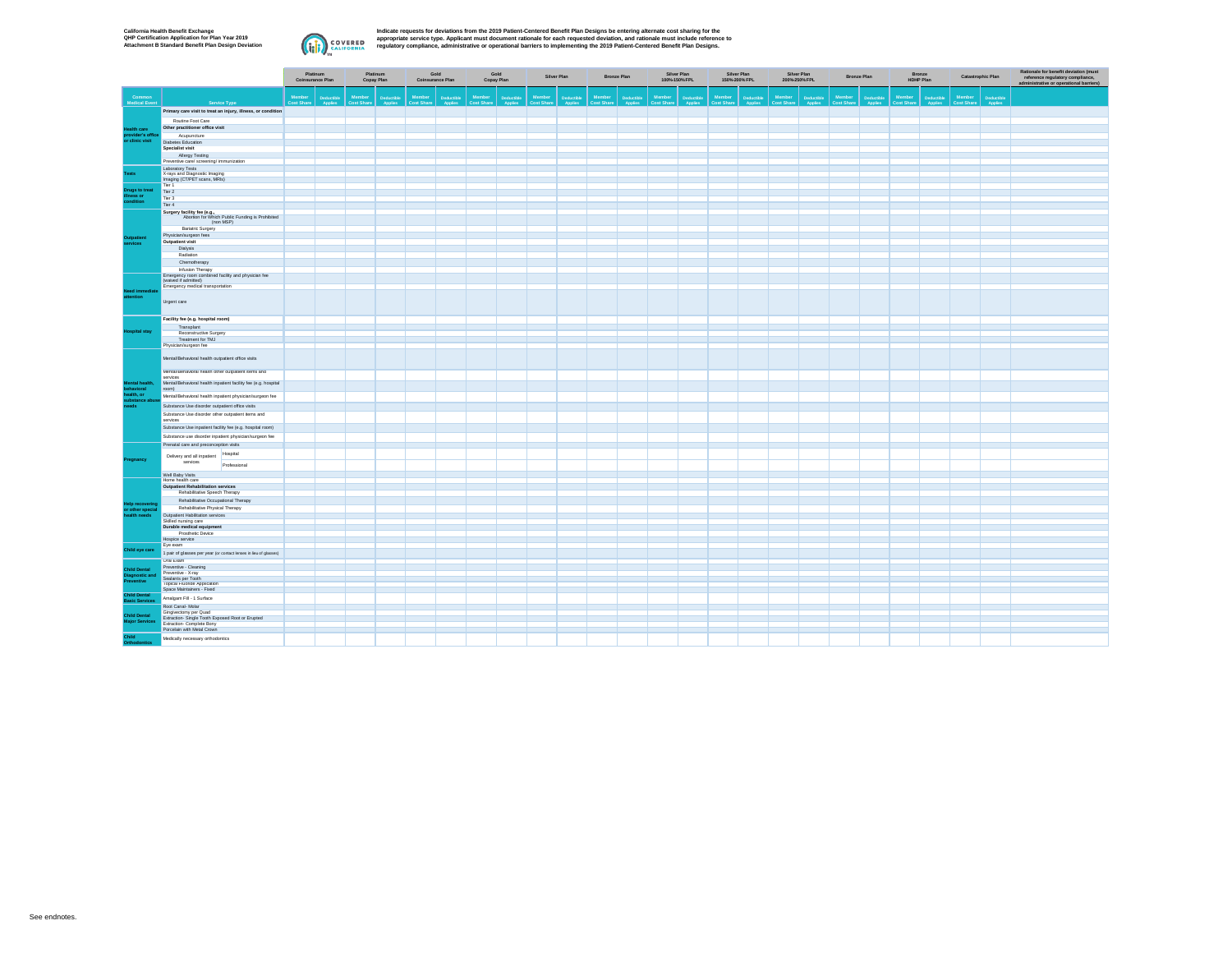

Indicate requests for deviations from the 2019 Patient-Centered Benefit Plan Designs be entering alternate cost sharing for the<br>appropriate service type. Applicant must document rationale for each requested deviation, and

|                                        |                                                                                                |              | Platinum<br><b>Coinsurance Plan</b> | Platinum<br>Copay Plan      | Gold<br>Coinsurance Plan    | Gold<br>Copay Plan | Silver Plan | <b>Bronze Plan</b> | Silver Plan<br>100%-150% FPL | Silver Plan<br>150%-200% FPL | Silver Plan<br>200%-250% FPL | <b>Bronze Plan</b> | Bronze<br>HDHP Plan | Catastrophic Plan |                       | Rationale for benefit deviation (must<br>reference regulatory compliance,<br>administrative or operational barriers) |
|----------------------------------------|------------------------------------------------------------------------------------------------|--------------|-------------------------------------|-----------------------------|-----------------------------|--------------------|-------------|--------------------|------------------------------|------------------------------|------------------------------|--------------------|---------------------|-------------------|-----------------------|----------------------------------------------------------------------------------------------------------------------|
| <b>Common</b><br>Medical Event         | Service Type                                                                                   |              | Member<br>Cost Share                | Member<br><b>Cost Share</b> | Member<br><b>Cost Share</b> | Member             | Member      | Member             |                              | Member                       | Member<br>Cost Share         |                    |                     | Member            | Deductible<br>Applies |                                                                                                                      |
|                                        | Primary care visit to treat an injury, illness, or condition                                   |              |                                     |                             |                             |                    |             |                    |                              |                              |                              |                    |                     |                   |                       |                                                                                                                      |
|                                        | Routine Foot Care                                                                              |              |                                     |                             |                             |                    |             |                    |                              |                              |                              |                    |                     |                   |                       |                                                                                                                      |
| Health care                            | Other practitioner office visit                                                                |              |                                     |                             |                             |                    |             |                    |                              |                              |                              |                    |                     |                   |                       |                                                                                                                      |
| provider's office<br>or clinic visit   | Acupuncture                                                                                    |              |                                     |                             |                             |                    |             |                    |                              |                              |                              |                    |                     |                   |                       |                                                                                                                      |
|                                        | Diabetes Education                                                                             |              |                                     |                             |                             |                    |             |                    |                              |                              |                              |                    |                     |                   |                       |                                                                                                                      |
|                                        | Specialist visit<br>Allergy Testing                                                            |              |                                     |                             |                             |                    |             |                    |                              |                              |                              |                    |                     |                   |                       |                                                                                                                      |
|                                        | Preventive care/ screening/ immunization                                                       |              |                                     |                             |                             |                    |             |                    |                              |                              |                              |                    |                     |                   |                       |                                                                                                                      |
|                                        | Laboratory Tests                                                                               |              |                                     |                             |                             |                    |             |                    |                              |                              |                              |                    |                     |                   |                       |                                                                                                                      |
| Tests                                  | X-rays and Diagnostic Imaging                                                                  |              |                                     |                             |                             |                    |             |                    |                              |                              |                              |                    |                     |                   |                       |                                                                                                                      |
|                                        | Imaging (CT/PET scans, MRIs)<br>Tier <sub>1</sub>                                              |              |                                     |                             |                             |                    |             |                    |                              |                              |                              |                    |                     |                   |                       |                                                                                                                      |
| Drugs to treat                         | Tier 2                                                                                         |              |                                     |                             |                             |                    |             |                    |                              |                              |                              |                    |                     |                   |                       |                                                                                                                      |
| illness or<br>condition                | Tier 3                                                                                         |              |                                     |                             |                             |                    |             |                    |                              |                              |                              |                    |                     |                   |                       |                                                                                                                      |
|                                        | Tier 4                                                                                         |              |                                     |                             |                             |                    |             |                    |                              |                              |                              |                    |                     |                   |                       |                                                                                                                      |
|                                        | Surgery facility fee (e.g.,<br>Abortion for Which Public Funding is Prohibited                 |              |                                     |                             |                             |                    |             |                    |                              |                              |                              |                    |                     |                   |                       |                                                                                                                      |
|                                        | (non MSP)                                                                                      |              |                                     |                             |                             |                    |             |                    |                              |                              |                              |                    |                     |                   |                       |                                                                                                                      |
|                                        | Bariatric Surgery<br>Physician/surgeon fees                                                    |              |                                     |                             |                             |                    |             |                    |                              |                              |                              |                    |                     |                   |                       |                                                                                                                      |
| Outpatient                             | Outpatient visit                                                                               |              |                                     |                             |                             |                    |             |                    |                              |                              |                              |                    |                     |                   |                       |                                                                                                                      |
| services                               | Dialysis                                                                                       |              |                                     |                             |                             |                    |             |                    |                              |                              |                              |                    |                     |                   |                       |                                                                                                                      |
|                                        | Radiation                                                                                      |              |                                     |                             |                             |                    |             |                    |                              |                              |                              |                    |                     |                   |                       |                                                                                                                      |
|                                        | Chemotherapy                                                                                   |              |                                     |                             |                             |                    |             |                    |                              |                              |                              |                    |                     |                   |                       |                                                                                                                      |
|                                        | Infusion Therapy<br>Emergency room combined facility and physician fee<br>(waived if admitted) |              |                                     |                             |                             |                    |             |                    |                              |                              |                              |                    |                     |                   |                       |                                                                                                                      |
|                                        |                                                                                                |              |                                     |                             |                             |                    |             |                    |                              |                              |                              |                    |                     |                   |                       |                                                                                                                      |
| Need immediate                         | Emergency medical transportation                                                               |              |                                     |                             |                             |                    |             |                    |                              |                              |                              |                    |                     |                   |                       |                                                                                                                      |
| attention                              | Urgent care                                                                                    |              |                                     |                             |                             |                    |             |                    |                              |                              |                              |                    |                     |                   |                       |                                                                                                                      |
|                                        |                                                                                                |              |                                     |                             |                             |                    |             |                    |                              |                              |                              |                    |                     |                   |                       |                                                                                                                      |
|                                        | Facility fee (e.g. hospital room)<br>Transplant                                                |              |                                     |                             |                             |                    |             |                    |                              |                              |                              |                    |                     |                   |                       |                                                                                                                      |
| <b>Hospital stay</b>                   | Reconstructive Surgery                                                                         |              |                                     |                             |                             |                    |             |                    |                              |                              |                              |                    |                     |                   |                       |                                                                                                                      |
|                                        | Treatment for TMJ                                                                              |              |                                     |                             |                             |                    |             |                    |                              |                              |                              |                    |                     |                   |                       |                                                                                                                      |
|                                        | Physician/surgeon fee                                                                          |              |                                     |                             |                             |                    |             |                    |                              |                              |                              |                    |                     |                   |                       |                                                                                                                      |
|                                        | Mental/Behavioral health outpatient office visits                                              |              |                                     |                             |                             |                    |             |                    |                              |                              |                              |                    |                     |                   |                       |                                                                                                                      |
|                                        | Mental/Behavioral health other outpatient items and                                            |              |                                     |                             |                             |                    |             |                    |                              |                              |                              |                    |                     |                   |                       |                                                                                                                      |
| Mental health,                         | services<br>Mental/Behavioral health inpatient facility fee (e.g. hospital                     |              |                                     |                             |                             |                    |             |                    |                              |                              |                              |                    |                     |                   |                       |                                                                                                                      |
| behavioral                             | room)                                                                                          |              |                                     |                             |                             |                    |             |                    |                              |                              |                              |                    |                     |                   |                       |                                                                                                                      |
| health, or<br>substance abuse          | Mental/Behavioral health inpatient physician/surgeon fee                                       |              |                                     |                             |                             |                    |             |                    |                              |                              |                              |                    |                     |                   |                       |                                                                                                                      |
| needs                                  | Substance Use disorder outpatient office visits                                                |              |                                     |                             |                             |                    |             |                    |                              |                              |                              |                    |                     |                   |                       |                                                                                                                      |
|                                        | Substance Use disorder other outpatient items and                                              |              |                                     |                             |                             |                    |             |                    |                              |                              |                              |                    |                     |                   |                       |                                                                                                                      |
|                                        | services                                                                                       |              |                                     |                             |                             |                    |             |                    |                              |                              |                              |                    |                     |                   |                       |                                                                                                                      |
|                                        | Substance Use inpatient facility fee (e.g. hospital room)                                      |              |                                     |                             |                             |                    |             |                    |                              |                              |                              |                    |                     |                   |                       |                                                                                                                      |
|                                        | Substance use disorder inpatient physician/surgeon fee                                         |              |                                     |                             |                             |                    |             |                    |                              |                              |                              |                    |                     |                   |                       |                                                                                                                      |
|                                        | Prenatal care and preconception visits                                                         |              |                                     |                             |                             |                    |             |                    |                              |                              |                              |                    |                     |                   |                       |                                                                                                                      |
|                                        | Delivery and all inpatient Hospital                                                            |              |                                     |                             |                             |                    |             |                    |                              |                              |                              |                    |                     |                   |                       |                                                                                                                      |
| Pregnancy                              | services                                                                                       | Professional |                                     |                             |                             |                    |             |                    |                              |                              |                              |                    |                     |                   |                       |                                                                                                                      |
|                                        | Well Baby Visits                                                                               |              |                                     |                             |                             |                    |             |                    |                              |                              |                              |                    |                     |                   |                       |                                                                                                                      |
|                                        | Home health care                                                                               |              |                                     |                             |                             |                    |             |                    |                              |                              |                              |                    |                     |                   |                       |                                                                                                                      |
|                                        | Outpatient Rehabilitation services                                                             |              |                                     |                             |                             |                    |             |                    |                              |                              |                              |                    |                     |                   |                       |                                                                                                                      |
|                                        | Rehabilitative Speech Therapy                                                                  |              |                                     |                             |                             |                    |             |                    |                              |                              |                              |                    |                     |                   |                       |                                                                                                                      |
| Help recovering<br>or other special    | Rehabilitative Occupational Therapy<br>Rehabilitative Physical Therapy                         |              |                                     |                             |                             |                    |             |                    |                              |                              |                              |                    |                     |                   |                       |                                                                                                                      |
| health needs                           | Outpatient Habilitation services                                                               |              |                                     |                             |                             |                    |             |                    |                              |                              |                              |                    |                     |                   |                       |                                                                                                                      |
|                                        | Skilled nursing care                                                                           |              |                                     |                             |                             |                    |             |                    |                              |                              |                              |                    |                     |                   |                       |                                                                                                                      |
|                                        | Durable medical equipment                                                                      |              |                                     |                             |                             |                    |             |                    |                              |                              |                              |                    |                     |                   |                       |                                                                                                                      |
|                                        | Prosthetic Device<br>Hospice service                                                           |              |                                     |                             |                             |                    |             |                    |                              |                              |                              |                    |                     |                   |                       |                                                                                                                      |
|                                        | Eve exam                                                                                       |              |                                     |                             |                             |                    |             |                    |                              |                              |                              |                    |                     |                   |                       |                                                                                                                      |
| Child eye care                         | 1 pair of glasses per year (or contact lenses in leu of glasses)                               |              |                                     |                             |                             |                    |             |                    |                              |                              |                              |                    |                     |                   |                       |                                                                                                                      |
|                                        | Oral Exam                                                                                      |              |                                     |                             |                             |                    |             |                    |                              |                              |                              |                    |                     |                   |                       |                                                                                                                      |
| <b>Child Dental</b>                    | Preventive - Cleaning                                                                          |              |                                     |                             |                             |                    |             |                    |                              |                              |                              |                    |                     |                   |                       |                                                                                                                      |
| <b>Diagnostic and</b>                  | Preventive - X-ray<br>Sealants per Tooth                                                       |              |                                     |                             |                             |                    |             |                    |                              |                              |                              |                    |                     |                   |                       |                                                                                                                      |
| Preventive                             | Topical Fluoride Application                                                                   |              |                                     |                             |                             |                    |             |                    |                              |                              |                              |                    |                     |                   |                       |                                                                                                                      |
|                                        | Space Maintainers - Fixed                                                                      |              |                                     |                             |                             |                    |             |                    |                              |                              |                              |                    |                     |                   |                       |                                                                                                                      |
| <b>Child Dental<br/>Basic Services</b> | Amalgam Fill - 1 Surface                                                                       |              |                                     |                             |                             |                    |             |                    |                              |                              |                              |                    |                     |                   |                       |                                                                                                                      |
|                                        | Root Canal- Molar                                                                              |              |                                     |                             |                             |                    |             |                    |                              |                              |                              |                    |                     |                   |                       |                                                                                                                      |
| <b>Child Dental</b>                    | Gingivectomy per Quad<br>Extraction- Single Tooth Exposed Root or Erupted                      |              |                                     |                             |                             |                    |             |                    |                              |                              |                              |                    |                     |                   |                       |                                                                                                                      |
|                                        | Major Services Extraction Complete Bony<br>Porcelain with Metal Crown                          |              |                                     |                             |                             |                    |             |                    |                              |                              |                              |                    |                     |                   |                       |                                                                                                                      |
| Child                                  |                                                                                                |              |                                     |                             |                             |                    |             |                    |                              |                              |                              |                    |                     |                   |                       |                                                                                                                      |
| Orthodontics                           | Medically necessary orthodontics                                                               |              |                                     |                             |                             |                    |             |                    |                              |                              |                              |                    |                     |                   |                       |                                                                                                                      |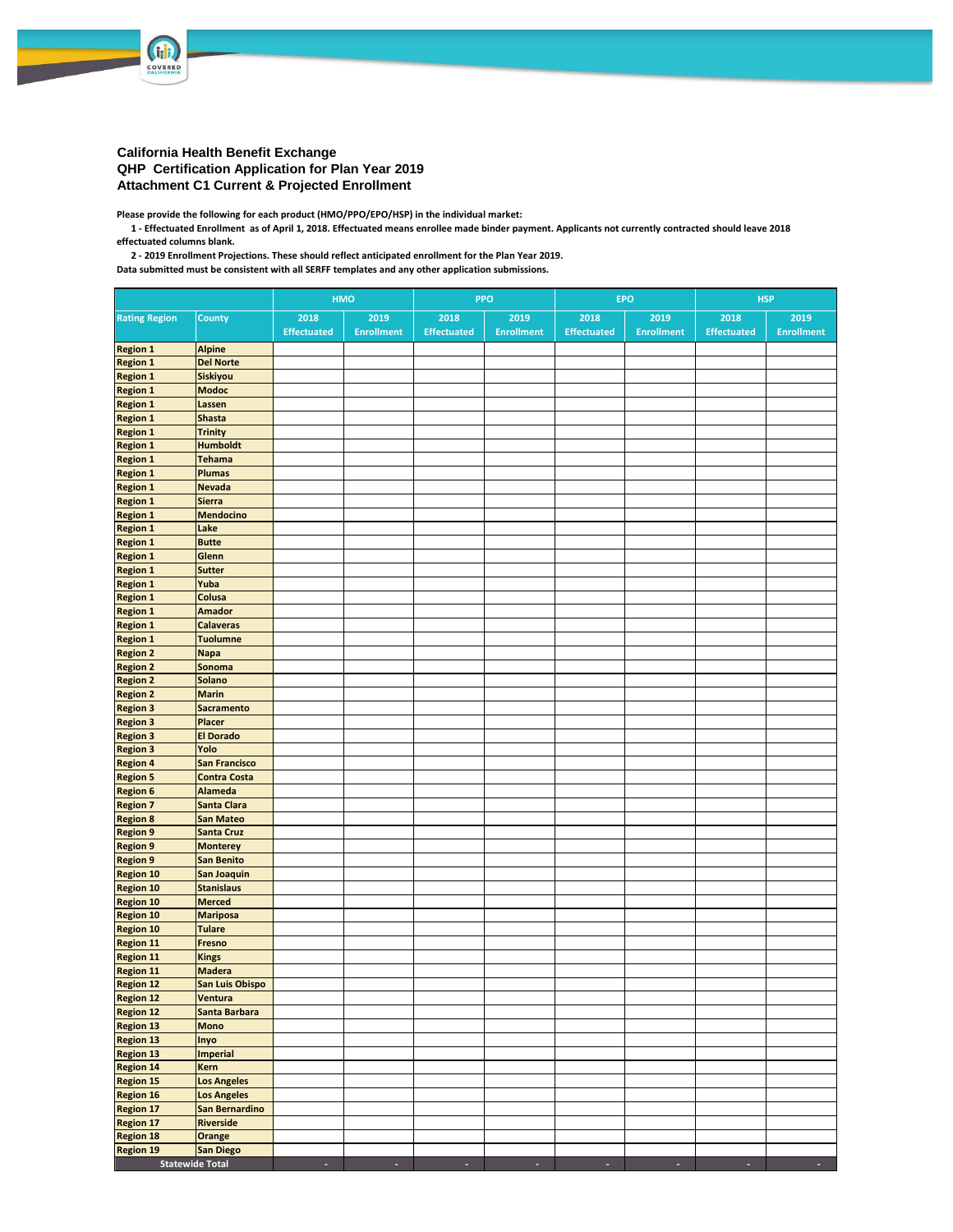

## **California Health Benefit Exchange QHP Certification Application for Plan Year 2019 Attachment C1 Current & Projected Enrollment**

**Please provide the following for each product (HMO/PPO/EPO/HSP) in the individual market:**

 **1 - Effectuated Enrollment as of April 1, 2018. Effectuated means enrollee made binder payment. Applicants not currently contracted should leave 2018 effectuated columns blank.**

 **2 - 2019 Enrollment Projections. These should reflect anticipated enrollment for the Plan Year 2019.**

**Data submitted must be consistent with all SERFF templates and any other application submissions.**

|                                      |                                      | HMO                |                   |                    | PPO               |                    | <b>EPO</b>        | <b>HSP</b>         |                   |  |  |
|--------------------------------------|--------------------------------------|--------------------|-------------------|--------------------|-------------------|--------------------|-------------------|--------------------|-------------------|--|--|
| <b>Rating Region</b>                 | <b>County</b>                        | 2018               | 2019              | 2018               | 2019              | 2018               | 2019              | 2018               | 2019              |  |  |
|                                      |                                      | <b>Effectuated</b> | <b>Enrollment</b> | <b>Effectuated</b> | <b>Enrollment</b> | <b>Effectuated</b> | <b>Enrollment</b> | <b>Effectuated</b> | <b>Enrollment</b> |  |  |
| <b>Region 1</b>                      | <b>Alpine</b>                        |                    |                   |                    |                   |                    |                   |                    |                   |  |  |
| <b>Region 1</b>                      | <b>Del Norte</b>                     |                    |                   |                    |                   |                    |                   |                    |                   |  |  |
| <b>Region 1</b>                      | Siskiyou                             |                    |                   |                    |                   |                    |                   |                    |                   |  |  |
| <b>Region 1</b>                      | <b>Modoc</b>                         |                    |                   |                    |                   |                    |                   |                    |                   |  |  |
| <b>Region 1</b>                      | Lassen                               |                    |                   |                    |                   |                    |                   |                    |                   |  |  |
| <b>Region 1</b><br><b>Region 1</b>   | <b>Shasta</b><br><b>Trinity</b>      |                    |                   |                    |                   |                    |                   |                    |                   |  |  |
| <b>Region 1</b>                      | <b>Humboldt</b>                      |                    |                   |                    |                   |                    |                   |                    |                   |  |  |
| <b>Region 1</b>                      | <b>Tehama</b>                        |                    |                   |                    |                   |                    |                   |                    |                   |  |  |
| <b>Region 1</b>                      | <b>Plumas</b>                        |                    |                   |                    |                   |                    |                   |                    |                   |  |  |
| <b>Region 1</b>                      | <b>Nevada</b>                        |                    |                   |                    |                   |                    |                   |                    |                   |  |  |
| <b>Region 1</b>                      | <b>Sierra</b>                        |                    |                   |                    |                   |                    |                   |                    |                   |  |  |
| <b>Region 1</b>                      | <b>Mendocino</b>                     |                    |                   |                    |                   |                    |                   |                    |                   |  |  |
| <b>Region 1</b>                      | Lake                                 |                    |                   |                    |                   |                    |                   |                    |                   |  |  |
| <b>Region 1</b>                      | <b>Butte</b>                         |                    |                   |                    |                   |                    |                   |                    |                   |  |  |
| <b>Region 1</b>                      | Glenn                                |                    |                   |                    |                   |                    |                   |                    |                   |  |  |
| <b>Region 1</b>                      | <b>Sutter</b>                        |                    |                   |                    |                   |                    |                   |                    |                   |  |  |
| <b>Region 1</b>                      | Yuba                                 |                    |                   |                    |                   |                    |                   |                    |                   |  |  |
| <b>Region 1</b>                      | Colusa                               |                    |                   |                    |                   |                    |                   |                    |                   |  |  |
| <b>Region 1</b>                      | <b>Amador</b>                        |                    |                   |                    |                   |                    |                   |                    |                   |  |  |
| <b>Region 1</b><br><b>Region 1</b>   | <b>Calaveras</b><br><b>Tuolumne</b>  |                    |                   |                    |                   |                    |                   |                    |                   |  |  |
| <b>Region 2</b>                      | <b>Napa</b>                          |                    |                   |                    |                   |                    |                   |                    |                   |  |  |
| <b>Region 2</b>                      | Sonoma                               |                    |                   |                    |                   |                    |                   |                    |                   |  |  |
| <b>Region 2</b>                      | Solano                               |                    |                   |                    |                   |                    |                   |                    |                   |  |  |
| <b>Region 2</b>                      | <b>Marin</b>                         |                    |                   |                    |                   |                    |                   |                    |                   |  |  |
| <b>Region 3</b>                      | <b>Sacramento</b>                    |                    |                   |                    |                   |                    |                   |                    |                   |  |  |
| <b>Region 3</b>                      | Placer                               |                    |                   |                    |                   |                    |                   |                    |                   |  |  |
| <b>Region 3</b>                      | <b>El Dorado</b>                     |                    |                   |                    |                   |                    |                   |                    |                   |  |  |
| <b>Region 3</b>                      | Yolo                                 |                    |                   |                    |                   |                    |                   |                    |                   |  |  |
| <b>Region 4</b>                      | <b>San Francisco</b>                 |                    |                   |                    |                   |                    |                   |                    |                   |  |  |
| <b>Region 5</b>                      | <b>Contra Costa</b>                  |                    |                   |                    |                   |                    |                   |                    |                   |  |  |
| <b>Region 6</b>                      | <b>Alameda</b>                       |                    |                   |                    |                   |                    |                   |                    |                   |  |  |
| <b>Region 7</b>                      | <b>Santa Clara</b>                   |                    |                   |                    |                   |                    |                   |                    |                   |  |  |
| <b>Region 8</b>                      | <b>San Mateo</b>                     |                    |                   |                    |                   |                    |                   |                    |                   |  |  |
| <b>Region 9</b><br><b>Region 9</b>   | <b>Santa Cruz</b><br><b>Monterey</b> |                    |                   |                    |                   |                    |                   |                    |                   |  |  |
| <b>Region 9</b>                      | <b>San Benito</b>                    |                    |                   |                    |                   |                    |                   |                    |                   |  |  |
| <b>Region 10</b>                     | <b>San Joaquin</b>                   |                    |                   |                    |                   |                    |                   |                    |                   |  |  |
| <b>Region 10</b>                     | <b>Stanislaus</b>                    |                    |                   |                    |                   |                    |                   |                    |                   |  |  |
| <b>Region 10</b>                     | <b>Merced</b>                        |                    |                   |                    |                   |                    |                   |                    |                   |  |  |
| <b>Region 10</b>                     | <b>Mariposa</b>                      |                    |                   |                    |                   |                    |                   |                    |                   |  |  |
| <b>Region 10</b>                     | <b>Tulare</b>                        |                    |                   |                    |                   |                    |                   |                    |                   |  |  |
| <b>Region 11</b>                     | <b>Fresno</b>                        |                    |                   |                    |                   |                    |                   |                    |                   |  |  |
| <b>Region 11</b>                     | <b>Kings</b>                         |                    |                   |                    |                   |                    |                   |                    |                   |  |  |
| <b>Region 11</b>                     | <b>Madera</b>                        |                    |                   |                    |                   |                    |                   |                    |                   |  |  |
| <b>Region 12</b>                     | <b>San Luis Obispo</b>               |                    |                   |                    |                   |                    |                   |                    |                   |  |  |
| <b>Region 12</b>                     | Ventura                              |                    |                   |                    |                   |                    |                   |                    |                   |  |  |
| <b>Region 12</b>                     | Santa Barbara                        |                    |                   |                    |                   |                    |                   |                    |                   |  |  |
| <b>Region 13</b><br><b>Region 13</b> | <b>Mono</b>                          |                    |                   |                    |                   |                    |                   |                    |                   |  |  |
| <b>Region 13</b>                     | Inyo<br><b>Imperial</b>              |                    |                   |                    |                   |                    |                   |                    |                   |  |  |
| <b>Region 14</b>                     | Kern                                 |                    |                   |                    |                   |                    |                   |                    |                   |  |  |
| <b>Region 15</b>                     | <b>Los Angeles</b>                   |                    |                   |                    |                   |                    |                   |                    |                   |  |  |
| <b>Region 16</b>                     | <b>Los Angeles</b>                   |                    |                   |                    |                   |                    |                   |                    |                   |  |  |
| <b>Region 17</b>                     | San Bernardino                       |                    |                   |                    |                   |                    |                   |                    |                   |  |  |
| <b>Region 17</b>                     | <b>Riverside</b>                     |                    |                   |                    |                   |                    |                   |                    |                   |  |  |
| <b>Region 18</b>                     | Orange                               |                    |                   |                    |                   |                    |                   |                    |                   |  |  |
| <b>Region 19</b>                     | San Diego                            |                    |                   |                    |                   |                    |                   |                    |                   |  |  |
| <b>Statewide Total</b>               |                                      |                    |                   |                    |                   |                    |                   |                    |                   |  |  |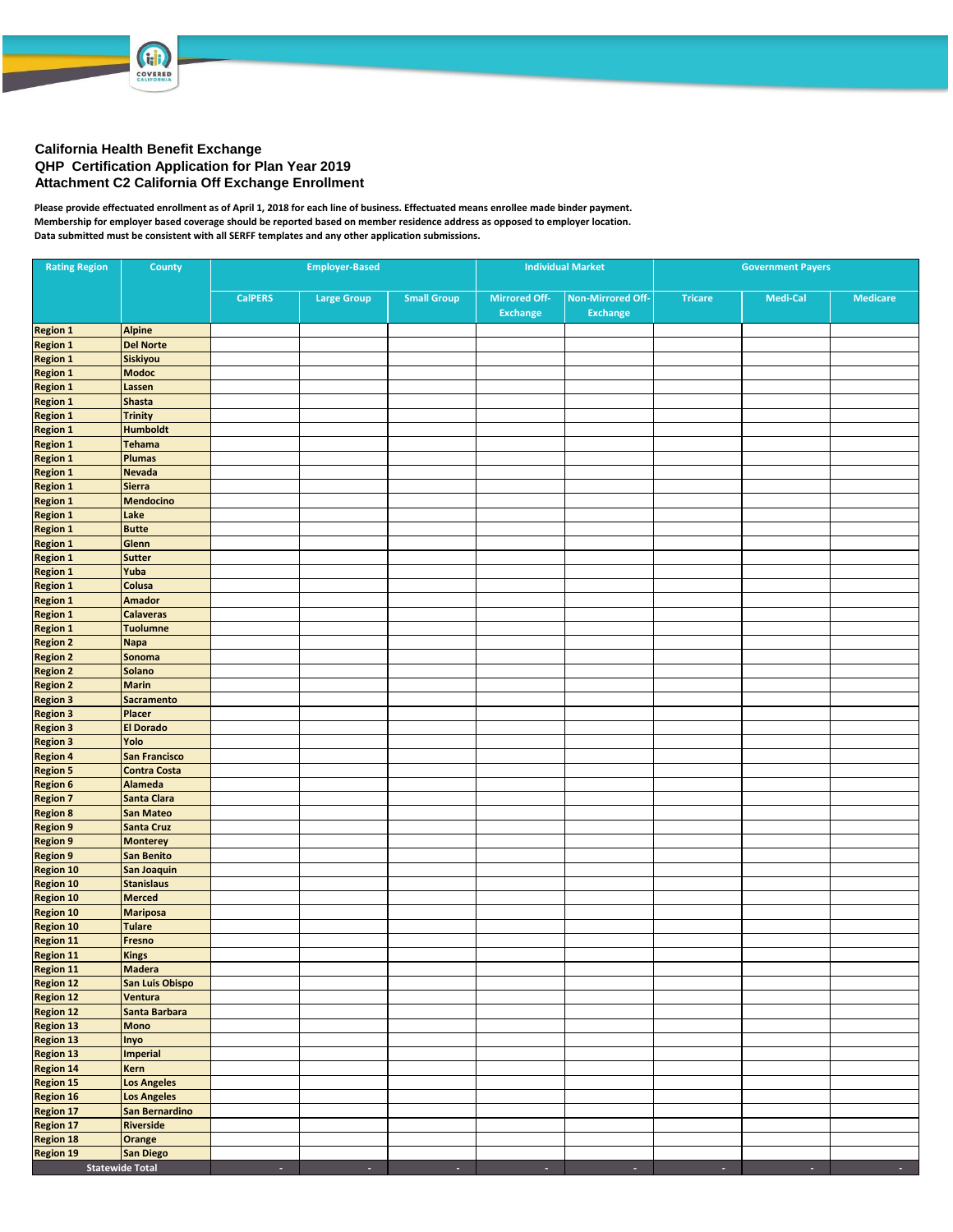

**GRE** COVERED

**Please provide effectuated enrollment as of April 1, 2018 for each line of business. Effectuated means enrollee made binder payment. Membership for employer based coverage should be reported based on member residence address as opposed to employer location. Data submitted must be consistent with all SERFF templates and any other application submissions.**

| <b>Rating Region</b>                             | County                             |                | <b>Employer-Based</b> |                    |                      | <b>Individual Market</b> | <b>Government Payers</b> |          |                     |  |  |  |
|--------------------------------------------------|------------------------------------|----------------|-----------------------|--------------------|----------------------|--------------------------|--------------------------|----------|---------------------|--|--|--|
|                                                  |                                    | <b>CalPERS</b> | <b>Large Group</b>    | <b>Small Group</b> | <b>Mirrored Off-</b> | <b>Non-Mirrored Off-</b> | <b>Tricare</b>           | Medi-Cal | <b>Medicare</b>     |  |  |  |
|                                                  |                                    |                |                       |                    | Exchange             | <b>Exchange</b>          |                          |          |                     |  |  |  |
| <b>Region 1</b>                                  | <b>Alpine</b>                      |                |                       |                    |                      |                          |                          |          |                     |  |  |  |
| <b>Region 1</b>                                  | <b>Del Norte</b>                   |                |                       |                    |                      |                          |                          |          |                     |  |  |  |
| <b>Region 1</b>                                  | Siskiyou                           |                |                       |                    |                      |                          |                          |          |                     |  |  |  |
| <b>Region 1</b>                                  | <b>Modoc</b>                       |                |                       |                    |                      |                          |                          |          |                     |  |  |  |
| <b>Region 1</b><br>Region 1                      | Lassen                             |                |                       |                    |                      |                          |                          |          |                     |  |  |  |
| <b>Region 1</b>                                  | <b>Shasta</b><br><b>Trinity</b>    |                |                       |                    |                      |                          |                          |          |                     |  |  |  |
| Region 1                                         | <b>Humboldt</b>                    |                |                       |                    |                      |                          |                          |          |                     |  |  |  |
| <b>Region 1</b>                                  | Tehama                             |                |                       |                    |                      |                          |                          |          |                     |  |  |  |
| <b>Region 1</b>                                  | Plumas                             |                |                       |                    |                      |                          |                          |          |                     |  |  |  |
| <b>Region 1</b>                                  | <b>Nevada</b>                      |                |                       |                    |                      |                          |                          |          |                     |  |  |  |
| <b>Region 1</b>                                  | <b>Sierra</b>                      |                |                       |                    |                      |                          |                          |          |                     |  |  |  |
| <b>Region 1</b>                                  | <b>Mendocino</b>                   |                |                       |                    |                      |                          |                          |          |                     |  |  |  |
| <b>Region 1</b>                                  | Lake                               |                |                       |                    |                      |                          |                          |          |                     |  |  |  |
| <b>Region 1</b>                                  | <b>Butte</b>                       |                |                       |                    |                      |                          |                          |          |                     |  |  |  |
| <b>Region 1</b>                                  | Glenn                              |                |                       |                    |                      |                          |                          |          |                     |  |  |  |
| Region 1<br><b>Region 1</b>                      | <b>Sutter</b><br>Yuba              |                |                       |                    |                      |                          |                          |          |                     |  |  |  |
| <b>Region 1</b>                                  | Colusa                             |                |                       |                    |                      |                          |                          |          |                     |  |  |  |
| <b>Region 1</b>                                  | <b>Amador</b>                      |                |                       |                    |                      |                          |                          |          |                     |  |  |  |
| <b>Region 1</b>                                  | <b>Calaveras</b>                   |                |                       |                    |                      |                          |                          |          |                     |  |  |  |
| <b>Region 1</b>                                  | <b>Tuolumne</b>                    |                |                       |                    |                      |                          |                          |          |                     |  |  |  |
| <b>Region 2</b>                                  | <b>Napa</b>                        |                |                       |                    |                      |                          |                          |          |                     |  |  |  |
| <b>Region 2</b>                                  | Sonoma                             |                |                       |                    |                      |                          |                          |          |                     |  |  |  |
| <b>Region 2</b>                                  | Solano                             |                |                       |                    |                      |                          |                          |          |                     |  |  |  |
| <b>Region 2</b>                                  | <b>Marin</b>                       |                |                       |                    |                      |                          |                          |          |                     |  |  |  |
| <b>Region 3</b>                                  | <b>Sacramento</b>                  |                |                       |                    |                      |                          |                          |          |                     |  |  |  |
| <b>Region 3</b><br><b>Region 3</b>               | Placer                             |                |                       |                    |                      |                          |                          |          |                     |  |  |  |
| <b>Region 3</b>                                  | <b>El Dorado</b><br>Yolo           |                |                       |                    |                      |                          |                          |          |                     |  |  |  |
| <b>Region 4</b>                                  | <b>San Francisco</b>               |                |                       |                    |                      |                          |                          |          |                     |  |  |  |
| <b>Region 5</b>                                  | <b>Contra Costa</b>                |                |                       |                    |                      |                          |                          |          |                     |  |  |  |
| <b>Region 6</b>                                  | <b>Alameda</b>                     |                |                       |                    |                      |                          |                          |          |                     |  |  |  |
| <b>Region 7</b>                                  | Santa Clara                        |                |                       |                    |                      |                          |                          |          |                     |  |  |  |
| <b>Region 8</b>                                  | San Mateo                          |                |                       |                    |                      |                          |                          |          |                     |  |  |  |
| <b>Region 9</b>                                  | <b>Santa Cruz</b>                  |                |                       |                    |                      |                          |                          |          |                     |  |  |  |
| <b>Region 9</b>                                  | <b>Monterey</b>                    |                |                       |                    |                      |                          |                          |          |                     |  |  |  |
| <b>Region 9</b>                                  | <b>San Benito</b>                  |                |                       |                    |                      |                          |                          |          |                     |  |  |  |
| <b>Region 10</b>                                 | San Joaquin                        |                |                       |                    |                      |                          |                          |          |                     |  |  |  |
| <b>Region 10</b><br><b>Region 10</b>             | <b>Stanislaus</b><br><b>Merced</b> |                |                       |                    |                      |                          |                          |          |                     |  |  |  |
| <b>Region 10</b>                                 | <b>Mariposa</b>                    |                |                       |                    |                      |                          |                          |          |                     |  |  |  |
| Region 10                                        | <b>Tulare</b>                      |                |                       |                    |                      |                          |                          |          |                     |  |  |  |
|                                                  | Fresno                             |                |                       |                    |                      |                          |                          |          |                     |  |  |  |
| Region 11<br>Region 11<br>Region 11              | Kings                              |                |                       |                    |                      |                          |                          |          |                     |  |  |  |
|                                                  | <b>Madera</b>                      |                |                       |                    |                      |                          |                          |          |                     |  |  |  |
| <b>Region 12</b>                                 | San Luis Obispo                    |                |                       |                    |                      |                          |                          |          |                     |  |  |  |
| Region 12<br>Region 12                           | Ventura                            |                |                       |                    |                      |                          |                          |          |                     |  |  |  |
|                                                  | Santa Barbara                      |                |                       |                    |                      |                          |                          |          |                     |  |  |  |
|                                                  | <b>Mono</b>                        |                |                       |                    |                      |                          |                          |          |                     |  |  |  |
| Region 13<br>Region 13<br>Region 13<br>Region 14 | Inyo<br>Imperial                   |                |                       |                    |                      |                          |                          |          |                     |  |  |  |
|                                                  | Kern                               |                |                       |                    |                      |                          |                          |          |                     |  |  |  |
| Region 15                                        | <b>Los Angeles</b>                 |                |                       |                    |                      |                          |                          |          |                     |  |  |  |
| Region 16                                        | <b>Los Angeles</b>                 |                |                       |                    |                      |                          |                          |          |                     |  |  |  |
| Region 17                                        | San Bernardino                     |                |                       |                    |                      |                          |                          |          |                     |  |  |  |
| Region 17                                        | Riverside                          |                |                       |                    |                      |                          |                          |          |                     |  |  |  |
| <b>Region 18</b>                                 | Orange                             |                |                       |                    |                      |                          |                          |          |                     |  |  |  |
| <b>Region 19</b>                                 | <b>San Diego</b>                   |                |                       |                    |                      |                          |                          |          |                     |  |  |  |
|                                                  | <b>Statewide Total</b>             | $\sim$         | $\sim$                | ÷                  | $\sim$               | $\sim$                   | $\sim$                   | $\sim$   | $\sigma_{\rm{eff}}$ |  |  |  |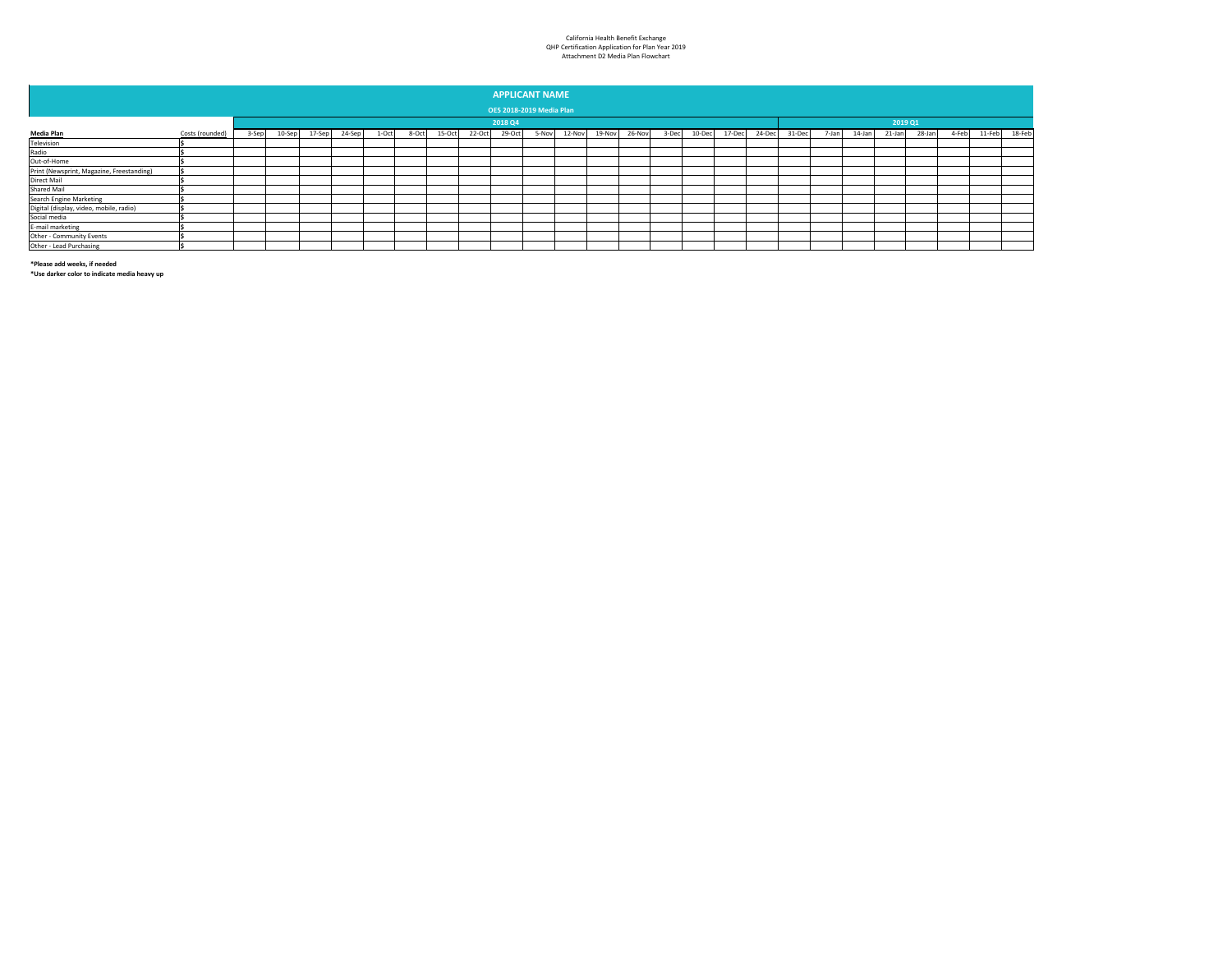## California Health Benefit Exchange QHP Certification Application for Plan Year 2019 Attachment D2 Media Plan Flowchart

| <b>APPLICANT NAME</b>                     |                                 |       |           |        |        |       |       |        |        |        |       |        |        |        |       |        |         |        |        |       |        |        |        |       |        |        |
|-------------------------------------------|---------------------------------|-------|-----------|--------|--------|-------|-------|--------|--------|--------|-------|--------|--------|--------|-------|--------|---------|--------|--------|-------|--------|--------|--------|-------|--------|--------|
|                                           |                                 |       |           |        |        |       |       |        |        |        |       |        |        |        |       |        |         |        |        |       |        |        |        |       |        |        |
|                                           | <b>OE5 2018-2019 Media Plan</b> |       |           |        |        |       |       |        |        |        |       |        |        |        |       |        |         |        |        |       |        |        |        |       |        |        |
|                                           |                                 |       | 2018 Q4   |        |        |       |       |        |        |        |       |        |        |        |       |        | 2019 Q1 |        |        |       |        |        |        |       |        |        |
| <b>Media Plan</b>                         | Costs (rounded)                 | 3-Sep | $10-$ Sep | 17-Sep | 24-Sep | 1-Oct | 8-Oct | 15-Oct | 22-Oct | 29-Oct | 5-Nov | 12-Nov | 19-Nov | 26-Nov | 3-Dec | 10-Dec | 17-Dec  | 24-Dec | 31-Dec | 7-Jan | 14-Jan | 21-Jan | 28-Jan | 4-Feb | 11-Feb | 18-Feb |
| Television                                |                                 |       |           |        |        |       |       |        |        |        |       |        |        |        |       |        |         |        |        |       |        |        |        |       |        |        |
| Radio                                     |                                 |       |           |        |        |       |       |        |        |        |       |        |        |        |       |        |         |        |        |       |        |        |        |       |        |        |
| Out-of-Home                               |                                 |       |           |        |        |       |       |        |        |        |       |        |        |        |       |        |         |        |        |       |        |        |        |       |        |        |
| Print (Newsprint, Magazine, Freestanding) |                                 |       |           |        |        |       |       |        |        |        |       |        |        |        |       |        |         |        |        |       |        |        |        |       |        |        |
| Direct Mail                               |                                 |       |           |        |        |       |       |        |        |        |       |        |        |        |       |        |         |        |        |       |        |        |        |       |        |        |
| Shared Mail                               |                                 |       |           |        |        |       |       |        |        |        |       |        |        |        |       |        |         |        |        |       |        |        |        |       |        |        |
| <b>Search Engine Marketing</b>            |                                 |       |           |        |        |       |       |        |        |        |       |        |        |        |       |        |         |        |        |       |        |        |        |       |        |        |
| Digital (display, video, mobile, radio)   |                                 |       |           |        |        |       |       |        |        |        |       |        |        |        |       |        |         |        |        |       |        |        |        |       |        |        |
| Social media                              |                                 |       |           |        |        |       |       |        |        |        |       |        |        |        |       |        |         |        |        |       |        |        |        |       |        |        |
| E-mail marketing                          |                                 |       |           |        |        |       |       |        |        |        |       |        |        |        |       |        |         |        |        |       |        |        |        |       |        |        |
| Other - Community Events                  |                                 |       |           |        |        |       |       |        |        |        |       |        |        |        |       |        |         |        |        |       |        |        |        |       |        |        |
| Other - Lead Purchasing                   |                                 |       |           |        |        |       |       |        |        |        |       |        |        |        |       |        |         |        |        |       |        |        |        |       |        |        |

**\*Please add weeks, if needed**

**\*Use darker color to indicate media heavy up**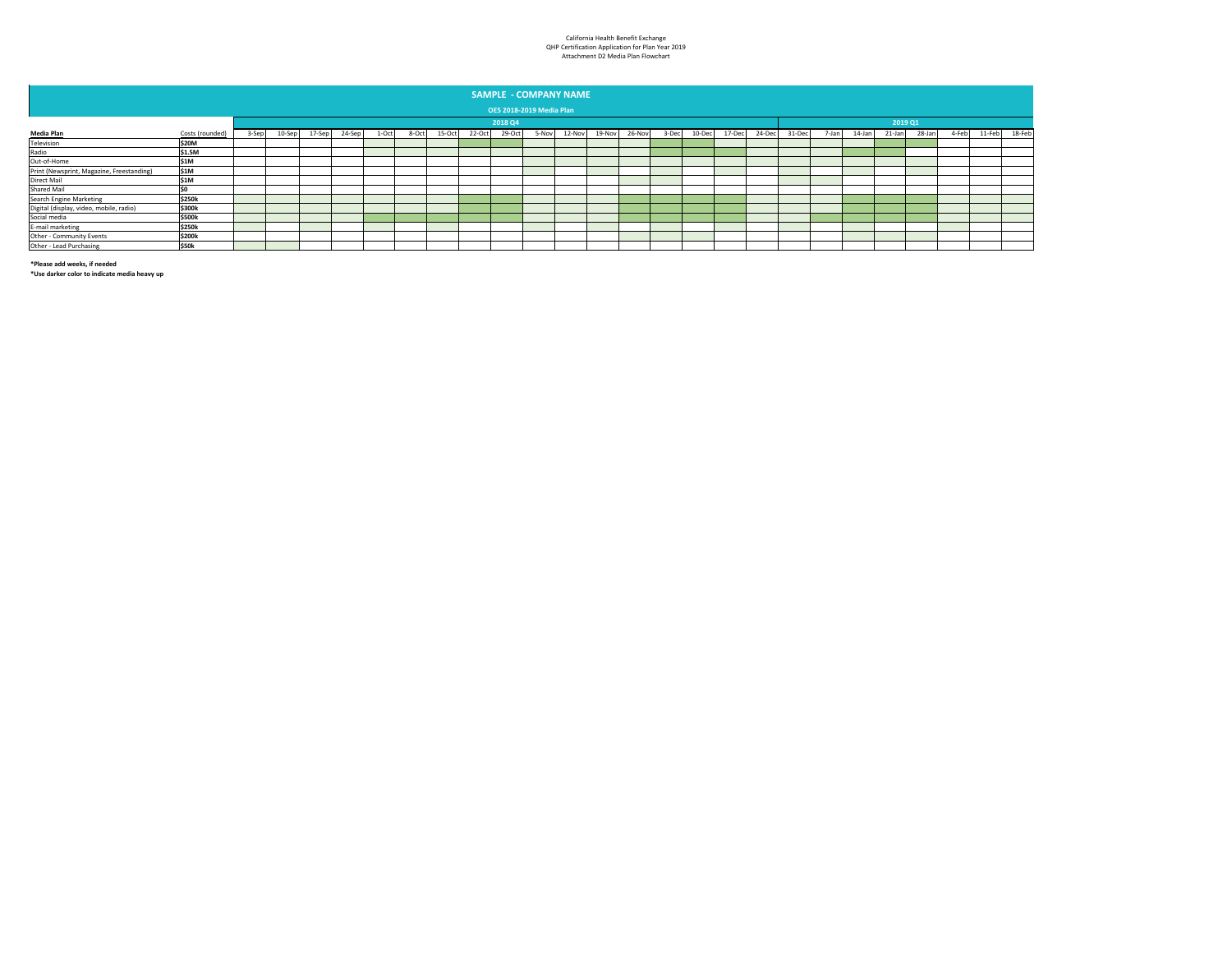## California Health Benefit Exchange QHP Certification Application for Plan Year 2019 Attachment D2 Media Plan Flowchart

|                                           | <b>SAMPLE - COMPANY NAME</b>    |       |         |        |        |       |       |        |        |        |       |        |        |        |       |        |        |        |         |       |        |        |        |       |        |        |
|-------------------------------------------|---------------------------------|-------|---------|--------|--------|-------|-------|--------|--------|--------|-------|--------|--------|--------|-------|--------|--------|--------|---------|-------|--------|--------|--------|-------|--------|--------|
|                                           | <b>OE5 2018-2019 Media Plan</b> |       |         |        |        |       |       |        |        |        |       |        |        |        |       |        |        |        |         |       |        |        |        |       |        |        |
|                                           |                                 |       | 2018 Q4 |        |        |       |       |        |        |        |       |        |        |        |       |        |        |        | 2019 Q1 |       |        |        |        |       |        |        |
| <b>Media Plan</b>                         | Costs (rounded)                 | 3-Sep | 10-Sep  | 17-Sep | 24-Sep | 1-Oct | 8-Oct | 15-Oct | 22-Oct | 29-Oct | 5-Nov | 12-Nov | 19-Nov | 26-Nov | 3-Dec | 10-Dec | 17-Dec | 24-Dec | 31-Dec  | 7-Jan | 14-Jan | 21-Jan | 28-Jan | 4-Feb | 11-Feb | 18-Feb |
| Television                                | \$20M                           |       |         |        |        |       |       |        |        |        |       |        |        |        |       |        |        |        |         |       |        |        |        |       |        |        |
| Radio                                     | \$1.5M                          |       |         |        |        |       |       |        |        |        |       |        |        |        |       |        |        |        |         |       |        |        |        |       |        |        |
| Out-of-Home                               | \$1M                            |       |         |        |        |       |       |        |        |        |       |        |        |        |       |        |        |        |         |       |        |        |        |       |        |        |
| Print (Newsprint, Magazine, Freestanding) | \$1M                            |       |         |        |        |       |       |        |        |        |       |        |        |        |       |        |        |        |         |       |        |        |        |       |        |        |
| Direct Mail                               | S <sub>1M</sub>                 |       |         |        |        |       |       |        |        |        |       |        |        |        |       |        |        |        |         |       |        |        |        |       |        |        |
| <b>Shared Mail</b>                        |                                 |       |         |        |        |       |       |        |        |        |       |        |        |        |       |        |        |        |         |       |        |        |        |       |        |        |
| Search Engine Marketing                   | \$250k                          |       |         |        |        |       |       |        |        |        |       |        |        |        |       |        |        |        |         |       |        |        |        |       |        |        |
| Digital (display, video, mobile, radio)   | \$300k                          |       |         |        |        |       |       |        |        |        |       |        |        |        |       |        |        |        |         |       |        |        |        |       |        |        |
| Social media                              | \$500k                          |       |         |        |        |       |       |        |        |        |       |        |        |        |       |        |        |        |         |       |        |        |        |       |        |        |
| E-mail marketing                          | \$250k                          |       |         |        |        |       |       |        |        |        |       |        |        |        |       |        |        |        |         |       |        |        |        |       |        |        |
| Other - Community Events                  | \$200k                          |       |         |        |        |       |       |        |        |        |       |        |        |        |       |        |        |        |         |       |        |        |        |       |        |        |
| Other - Lead Purchasing                   | <b>S50k</b>                     |       |         |        |        |       |       |        |        |        |       |        |        |        |       |        |        |        |         |       |        |        |        |       |        |        |

**\*Please add weeks, if needed**

**\*Use darker color to indicate media heavy up**